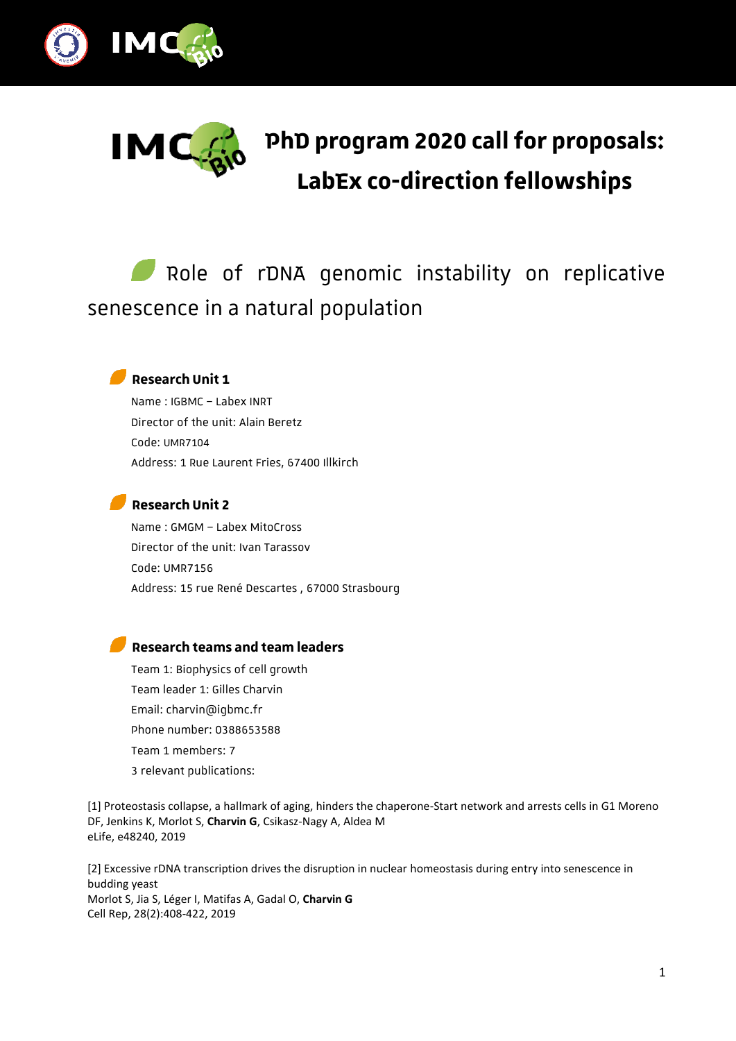



# **PhD program 2020 call for proposals: LabEx co-direction fellowships**

## Role of rDNA genomic instability on replicative senescence in a natural population



### **Research Unit 1**

Name : IGBMC – Labex INRT Director of the unit: Alain Beretz Code: UMR7104 Address: 1 Rue Laurent Fries, 67400 Illkirch

#### **Research Unit 2**

Name : GMGM – Labex MitoCross Director of the unit: Ivan Tarassov Code: UMR7156 Address: 15 rue René Descartes , 67000 Strasbourg

#### **Research teams and team leaders**

Team 1: Biophysics of cell growth Team leader 1: Gilles Charvin Email: charvin@igbmc.fr Phone number: 0388653588 Team 1 members: 7 3 relevant publications:

[1] Proteostasis collapse, a hallmark of aging, hinders the chaperone-Start network and arrests cells in G1 Moreno DF, Jenkins K, Morlot S, **Charvin G**, Csikasz-Nagy A, Aldea M eLife, e48240, 2019

[2] Excessive rDNA transcription drives the disruption in nuclear homeostasis during entry into senescence in budding yeast Morlot S, Jia S, Léger I, Matifas A, Gadal O, Charvin G Cell Rep, 28(2):408-422, 2019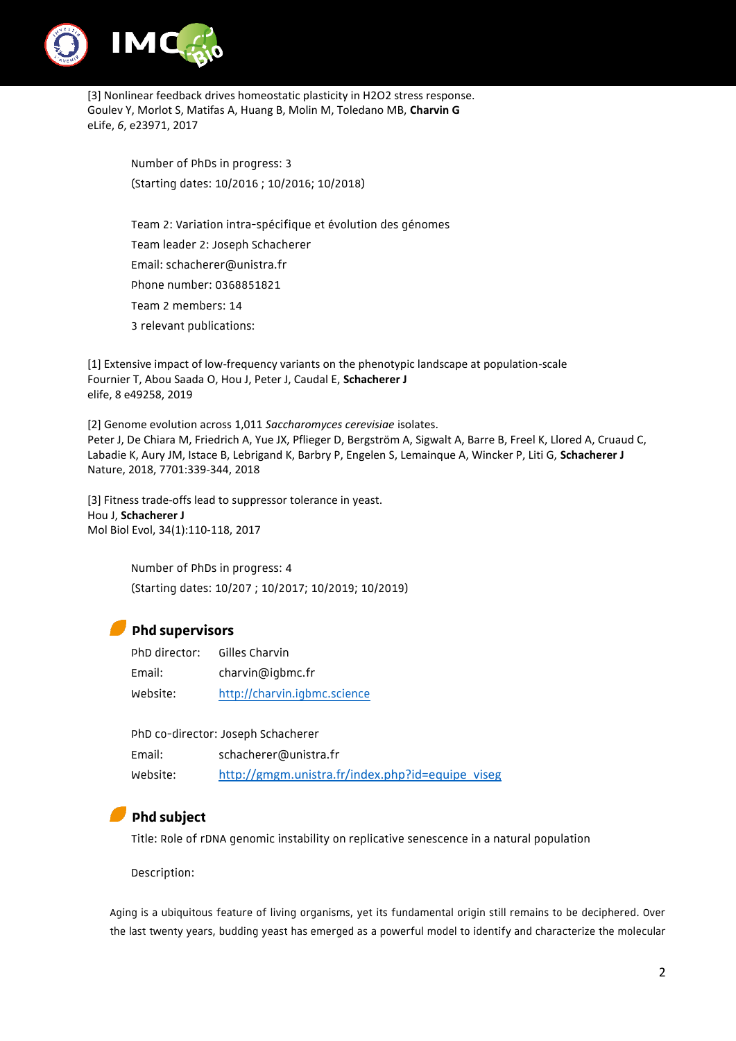

[3] Nonlinear feedback drives homeostatic plasticity in H2O2 stress response. Goulev Y, Morlot S, Matifas A, Huang B, Molin M, Toledano MB, **Charvin G**  eLife, *6*, e23971, 2017

> Number of PhDs in progress: 3 (Starting dates: 10/2016 ; 10/2016; 10/2018)

Team 2: Variation intra-spécifique et évolution des génomes Team leader 2: Joseph Schacherer Email: schacherer@unistra.fr Phone number: 0368851821 Team 2 members: 14 3 relevant publications:

[1] Extensive impact of low-frequency variants on the phenotypic landscape at population-scale Fournier T, Abou Saada O, Hou J, Peter J, Caudal E, **Schacherer J** elife, 8 e49258, 2019

[2] Genome evolution across 1,011 *Saccharomyces cerevisiae* isolates. Peter J, De Chiara M, Friedrich A, Yue JX, Pflieger D, Bergström A, Sigwalt A, Barre B, Freel K, Llored A, Cruaud C, Labadie K, Aury JM, Istace B, Lebrigand K, Barbry P, Engelen S, Lemainque A, Wincker P, Liti G, **Schacherer J** Nature, 2018, 7701:339-344, 2018

[3] Fitness trade-offs lead to suppressor tolerance in yeast. Hou J, **Schacherer J** Mol Biol Evol, 34(1):110-118, 2017

> Number of PhDs in progress: 4 (Starting dates: 10/207 ; 10/2017; 10/2019; 10/2019)

#### **Phd supervisors**

| PhD director: | Gilles Charvin               |
|---------------|------------------------------|
| Email:        | charvin@igbmc.fr             |
| Website:      | http://charvin.igbmc.science |

|          | PhD co-director: Joseph Schacherer               |  |
|----------|--------------------------------------------------|--|
| Email:   | schacherer@unistra.fr                            |  |
| Website: | http://gmgm.unistra.fr/index.php?id=equipe_viseg |  |

## **Phd subject**

Title: Role of rDNA genomic instability on replicative senescence in a natural population

Description:

Aging is a ubiquitous feature of living organisms, yet its fundamental origin still remains to be deciphered. Over the last twenty years, budding yeast has emerged as a powerful model to identify and characterize the molecular